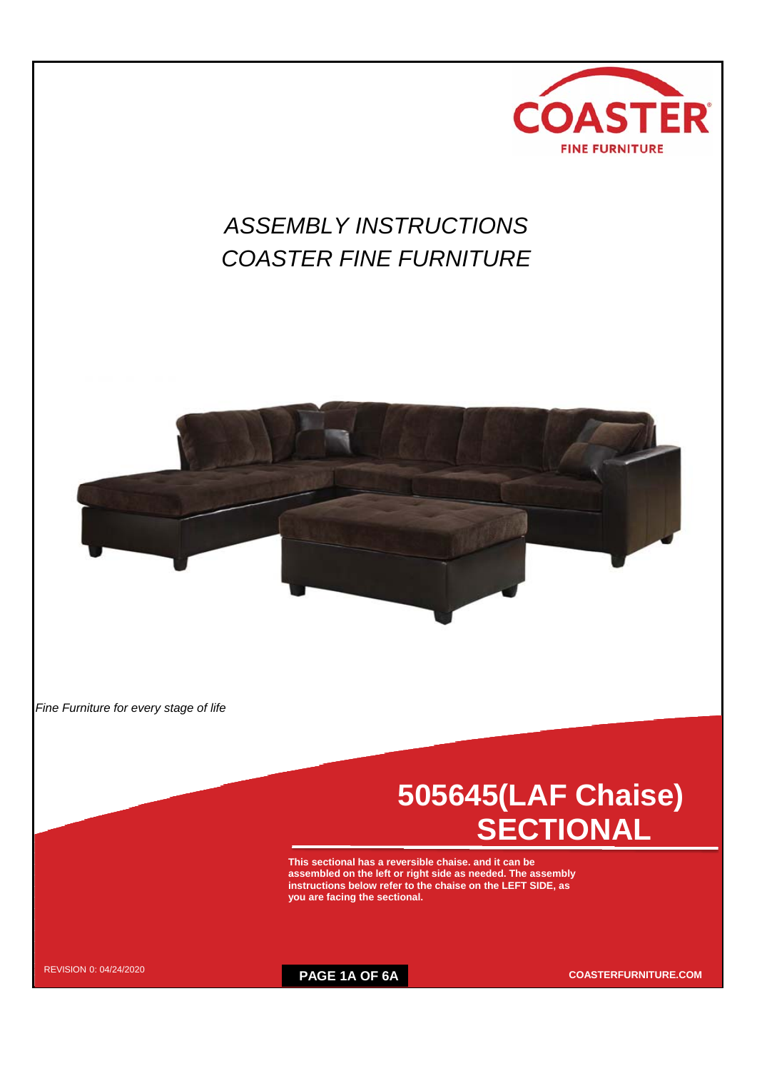

## *ASSEMBLY INSTRUCTIONS COASTER FINE FURNITURE*



*Fine Furniture for every stage of life*

## **505645(LAF Chaise) SECTIONAL**

**This sectional has a reversible chaise. and it can be assembled on the left or right side as needed. The assembly instructions below refer to the chaise on the LEFT SIDE, as you are facing the sectional.**

REVISION <sup>1</sup>: <sup>0</sup>6/19/2020 **PAGE 1A OF 6A COASTERFURNITURE.COM**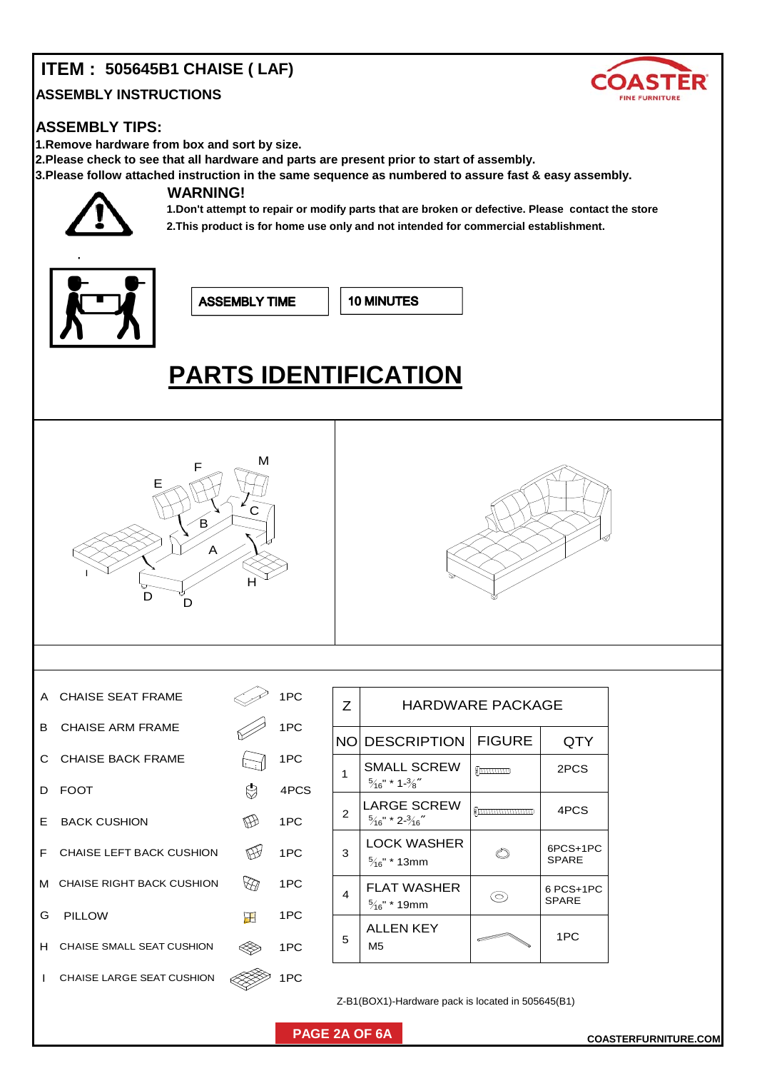## **ITEM : 505645B1 CHAISE ( LAF)**

**ASSEMBLY INSTRUCTIONS**



#### **ASSEMBLY TIPS:**

**1.Remove hardware from box and sort by size.**

**2.Please check to see that all hardware and parts are present prior to start of assembly.**

**WARNING! 3.Please follow attached instruction in the same sequence as numbered to assure fast & easy assembly.**



**1.Don't attempt to repair or modify parts that are broken or defective. Please contact the store 2.This product is for home use only and not intended for commercial establishment.**



**ASSEMBLY TIME** 

**10 MINUTES** 

# **PARTS IDENTIFICATION**



A CHAISE SEAT FRAME  $\oslash$  1PC

B

C

F



CHAISE ARM FRAME  $\bigotimes$  1PC CHAISE BACK FRAME  $\Box$  1PC D FOOT 4PCS  $47$ 1PC E BACK CUSHION  $\mathbb{R}$ CHAISE LEFT BACK CUSHION 1PC  $\bigotimes$ 1PC M CHAISE RIGHT BACK CUSHION G PILLOW **IF THE SET OF STATE** 1PC  $\begin{matrix} \textsf{H} & \textsf{CHAISE SMALL SEAT CUSHION} \end{matrix} \quad \textcircled{S} \quad \textsf{1PC}$ I CHAISE LARGE SEAT CUSHION  $\otimes$  1PC

| 7 | HARDWARE PACKAGE                                      |                                                                                                                       |                          |
|---|-------------------------------------------------------|-----------------------------------------------------------------------------------------------------------------------|--------------------------|
|   | <b>NOI DESCRIPTION</b>                                | <b>FIGURE</b>                                                                                                         | QTY                      |
| 1 | SMALL SCREW<br>$\frac{5}{16}$ " * 1- $\frac{3}{8}$ "  | 011111111110                                                                                                          | 2PCS                     |
| 2 | LARGE SCREW<br>$\frac{5}{16}$ " * 2- $\frac{3}{16}$ " |                                                                                                                       | 4PCS                     |
| 3 | LOCK WASHER<br>$\frac{5}{16}$ " * 13mm                |                                                                                                                       | 6PCS+1PC<br><b>SPARE</b> |
| 4 | <b>FLAT WASHER</b><br>$\frac{5}{16}$ " * 19mm         | $\infty$                                                                                                              | 6 PCS+1PC<br>SPARE       |
| 5 | <b>ALLEN KEY</b><br>M <sub>5</sub>                    | <b>Contract Contract Contract Contract Contract Contract Contract Contract Contract Contract Contract Contract Co</b> | 1PC                      |

Z-B1(BOX1)-Hardware pack is located in 505645(B1)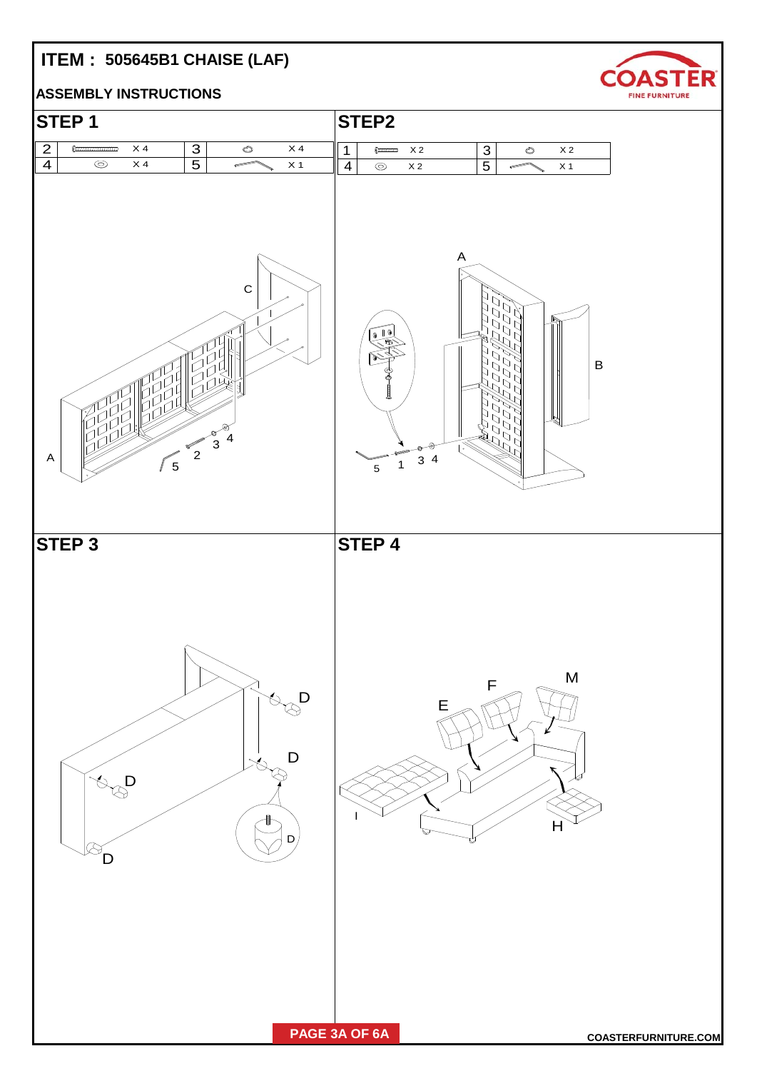## **ITEM : 505645B1 CHAISE (LAF)**

#### **ASSEMBLY INSTRUCTIONS**



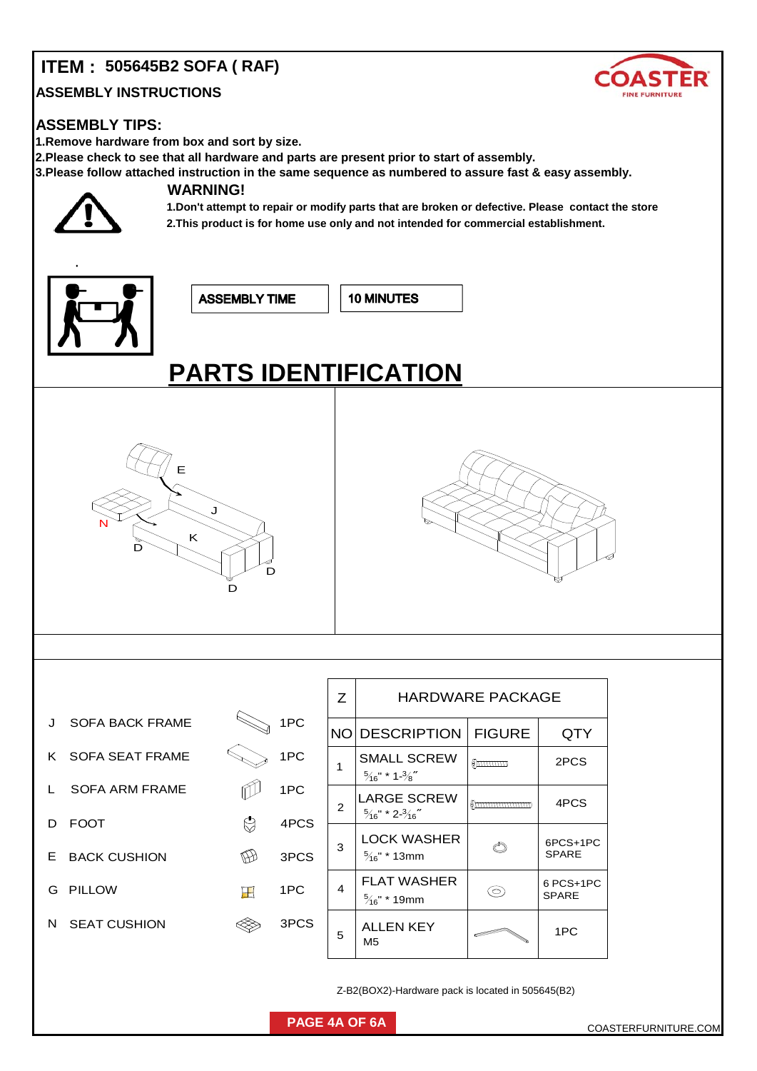### **ITEM : 505645B2 SOFA ( RAF)**

#### **ASSEMBLY INSTRUCTIONS**



#### **ASSEMBLY TIPS:**

**1.Remove hardware from box and sort by size.**

**2.Please check to see that all hardware and parts are present prior to start of assembly.**

**3.Please follow attached instruction in the same sequence as numbered to assure fast & easy assembly.**

#### **WARNING!**



**1.Don't attempt to repair or modify parts that are broken or defective. Please contact the store 2.This product is for home use only and not intended for commercial establishment.**

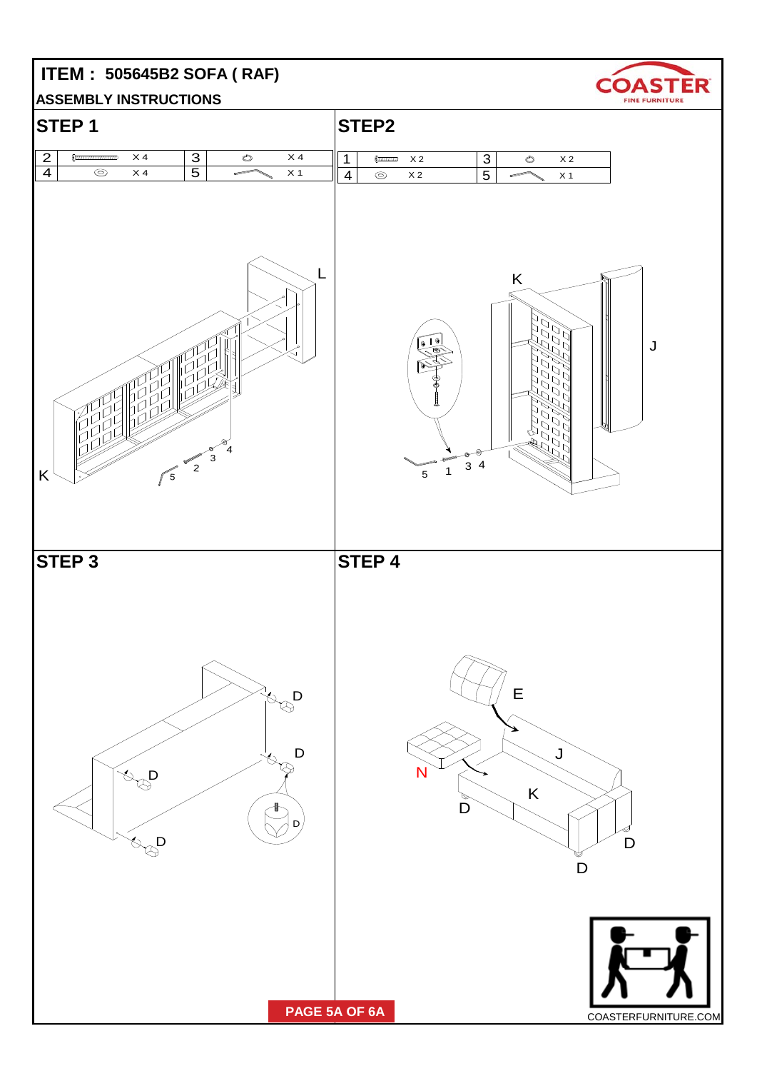### **ITEM : 505645B2 SOFA ( RAF) ASSEMBLY INSTRUCTIONS**